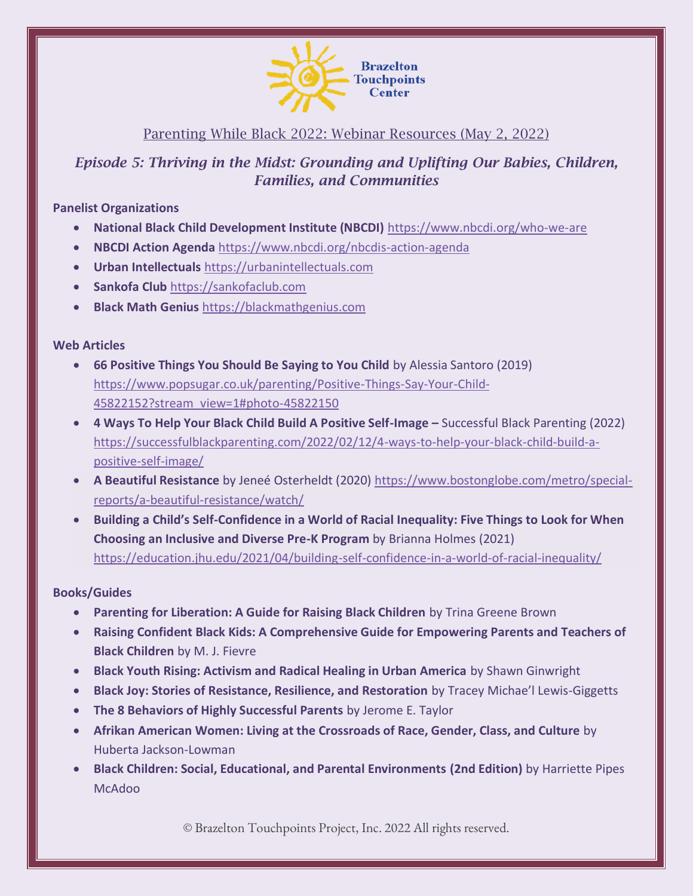

# Parenting While Black 2022: Webinar Resources (May 2, 2022)

# *Episode 5: Thriving in the Midst: Grounding and Uplifting Our Babies, Children, Families, and Communities*

### **Panelist Organizations**

- **National Black Child Development Institute (NBCDI)** <https://www.nbcdi.org/who-we-are>
- **NBCDI Action Agenda** <https://www.nbcdi.org/nbcdis-action-agenda>
- **Urban Intellectuals** [https://urbanintellectuals.com](https://urbanintellectuals.com/)
- **Sankofa Club** [https://sankofaclub.com](https://sankofaclub.com/)
- **Black Math Genius** [https://blackmathgenius.com](https://blackmathgenius.com/)

## **Web Articles**

- **66 Positive Things You Should Be Saying to You Child** by Alessia Santoro (2019) [https://www.popsugar.co.uk/parenting/Positive-Things-Say-Your-Child-](https://www.popsugar.co.uk/parenting/Positive-Things-Say-Your-Child-45822152?stream_view=1#photo-45822150)[45822152?stream\\_view=1#photo-45822150](https://www.popsugar.co.uk/parenting/Positive-Things-Say-Your-Child-45822152?stream_view=1#photo-45822150)
- 4 Ways To Help Your Black Child Build A Positive Self-Image Successful Black Parenting (2022) [https://successfulblackparenting.com/2022/02/12/4-ways-to-help-your-black-child-build-a](https://successfulblackparenting.com/2022/02/12/4-ways-to-help-your-black-child-build-a-positive-self-image/)[positive-self-image/](https://successfulblackparenting.com/2022/02/12/4-ways-to-help-your-black-child-build-a-positive-self-image/)
- **A Beautiful Resistance** by Jeneé Osterheldt (2020) [https://www.bostonglobe.com/metro/special](https://www.bostonglobe.com/metro/special-reports/a-beautiful-resistance/watch/)[reports/a-beautiful-resistance/watch/](https://www.bostonglobe.com/metro/special-reports/a-beautiful-resistance/watch/)
- **Building a Child's Self-Confidence in a World of Racial Inequality: Five Things to Look for When Choosing an Inclusive and Diverse Pre-K Program** by Brianna Holmes (2021) <https://education.jhu.edu/2021/04/building-self-confidence-in-a-world-of-racial-inequality/>

# **Books/Guides**

- **Parenting for Liberation: A Guide for Raising Black Children** by Trina Greene Brown
- **Raising Confident Black Kids: A Comprehensive Guide for Empowering Parents and Teachers of Black Children** by M. J. Fievre
- **Black Youth Rising: Activism and Radical Healing in Urban America** by Shawn Ginwright
- **Black Joy: Stories of Resistance, Resilience, and Restoration** by Tracey Michae'l Lewis-Giggetts
- **The 8 Behaviors of Highly Successful Parents** by Jerome E. Taylor
- **Afrikan American Women: Living at the Crossroads of Race, Gender, Class, and Culture** by Huberta Jackson-Lowman
- **Black Children: Social, Educational, and Parental Environments (2nd Edition)** by Harriette Pipes McAdoo

© Brazelton Touchpoints Project, Inc. 2022 All rights reserved.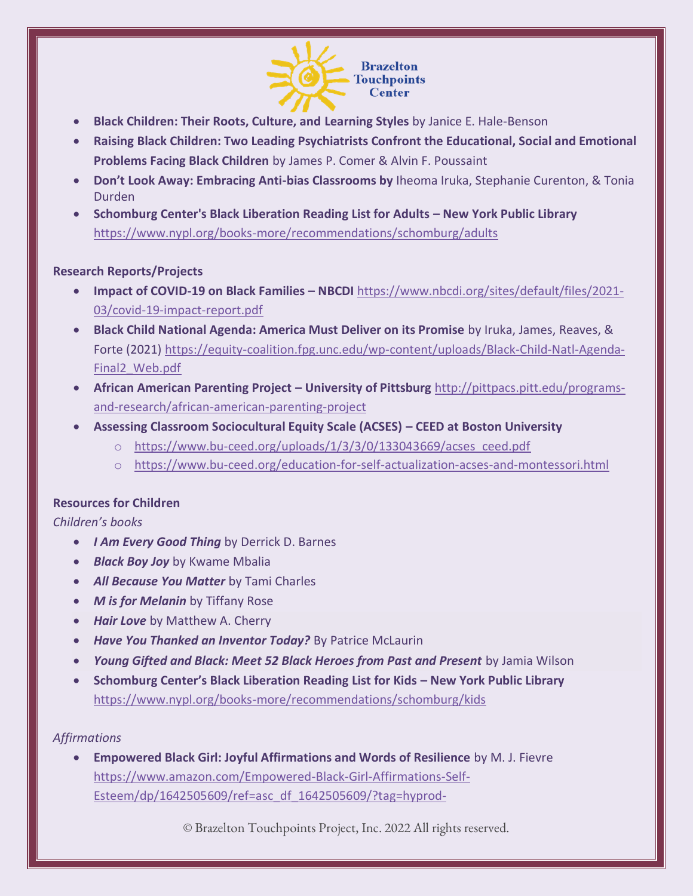

- **Black Children: Their Roots, Culture, and Learning Styles** by Janice E. Hale-Benson
- **Raising Black Children: Two Leading Psychiatrists Confront the Educational, Social and Emotional Problems Facing Black Children** by James P. Comer & Alvin F. Poussaint
- **Don't Look Away: Embracing Anti-bias Classrooms by** Iheoma Iruka, Stephanie Curenton, & Tonia Durden
- **Schomburg Center's Black Liberation Reading List for Adults – New York Public Library**  <https://www.nypl.org/books-more/recommendations/schomburg/adults>

#### **Research Reports/Projects**

- **Impact of COVID-19 on Black Families – NBCDI** [https://www.nbcdi.org/sites/default/files/2021-](https://www.nbcdi.org/sites/default/files/2021-03/covid-19-impact-report.pdf) [03/covid-19-impact-report.pdf](https://www.nbcdi.org/sites/default/files/2021-03/covid-19-impact-report.pdf)
- **Black Child National Agenda: America Must Deliver on its Promise** by Iruka, James, Reaves, & Forte (2021) [https://equity-coalition.fpg.unc.edu/wp-content/uploads/Black-Child-Natl-Agenda-](https://equity-coalition.fpg.unc.edu/wp-content/uploads/Black-Child-Natl-Agenda-Final2_Web.pdf)[Final2\\_Web.pdf](https://equity-coalition.fpg.unc.edu/wp-content/uploads/Black-Child-Natl-Agenda-Final2_Web.pdf)
- **African American Parenting Project – University of Pittsburg** [http://pittpacs.pitt.edu/programs](http://pittpacs.pitt.edu/programs-and-research/african-american-parenting-project)[and-research/african-american-parenting-project](http://pittpacs.pitt.edu/programs-and-research/african-american-parenting-project)
- **Assessing Classroom Sociocultural Equity Scale (ACSES) – CEED at Boston University**
	- o [https://www.bu-ceed.org/uploads/1/3/3/0/133043669/acses\\_ceed.pdf](https://www.bu-ceed.org/uploads/1/3/3/0/133043669/acses_ceed.pdf)
	- o <https://www.bu-ceed.org/education-for-self-actualization-acses-and-montessori.html>

#### **Resources for Children**

#### *Children's books*

- *I Am Every Good Thing* by Derrick D. Barnes
- *Black Boy Joy* by Kwame Mbalia
- *All Because You Matter* by Tami Charles
- *M is for Melanin* by Tiffany Rose
- *Hair Love* by Matthew A. Cherry
- *Have You Thanked an Inventor Today?* By Patrice McLaurin
- *Young Gifted and Black: Meet 52 Black Heroes from Past and Present* by Jamia Wilson
- **Schomburg Center's Black Liberation Reading List for Kids – New York Public Library**  <https://www.nypl.org/books-more/recommendations/schomburg/kids>

### *Affirmations*

• **Empowered Black Girl: Joyful Affirmations and Words of Resilience** by M. J. Fievre [https://www.amazon.com/Empowered-Black-Girl-Affirmations-Self-](https://www.amazon.com/Empowered-Black-Girl-Affirmations-Self-Esteem/dp/1642505609/ref=asc_df_1642505609/?tag=hyprod-20&linkCode=df0&hvadid=509203545053&hvpos=&hvnetw=g&hvrand=9158329765780974453&hvpone=&hvptwo=&hvqmt=&hvdev=c&hvdvcmdl=&hvlocint=&hvlocphy=9001937&hvtargid=pla-1224034726039&psc=1)[Esteem/dp/1642505609/ref=asc\\_df\\_1642505609/?tag=hyprod-](https://www.amazon.com/Empowered-Black-Girl-Affirmations-Self-Esteem/dp/1642505609/ref=asc_df_1642505609/?tag=hyprod-20&linkCode=df0&hvadid=509203545053&hvpos=&hvnetw=g&hvrand=9158329765780974453&hvpone=&hvptwo=&hvqmt=&hvdev=c&hvdvcmdl=&hvlocint=&hvlocphy=9001937&hvtargid=pla-1224034726039&psc=1)

© Brazelton Touchpoints Project, Inc. 2022 All rights reserved.